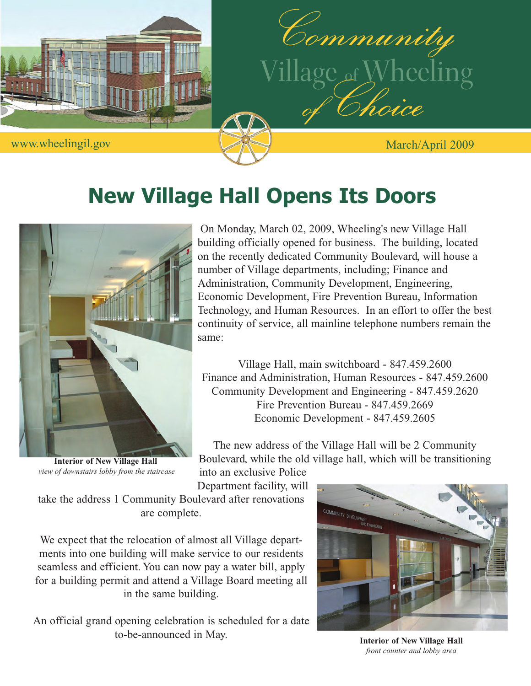



## **New Village Hall Opens Its Doors**



**Interior of New Village Hall**  *view of downstairs lobby from the staircase*

On Monday, March 02, 2009, Wheeling's new Village Hall building officially opened for business. The building, located on the recently dedicated Community Boulevard, will house a number of Village departments, including; Finance and Administration, Community Development, Engineering, Economic Development, Fire Prevention Bureau, Information Technology, and Human Resources. In an effort to offer the best continuity of service, all mainline telephone numbers remain the same:

Village Hall, main switchboard - 847.459.2600 Finance and Administration, Human Resources - 847.459.2600 Community Development and Engineering - 847.459.2620 Fire Prevention Bureau - 847.459.2669 Economic Development - 847.459.2605

The new address of the Village Hall will be 2 Community Boulevard, while the old village hall, which will be transitioning

into an exclusive Police Department facility, will

take the address 1 Community Boulevard after renovations are complete.

We expect that the relocation of almost all Village departments into one building will make service to our residents seamless and efficient. You can now pay a water bill, apply for a building permit and attend a Village Board meeting all in the same building.

An official grand opening celebration is scheduled for a date to-be-announced in May.



**Interior of New Village Hall**  *front counter and lobby area*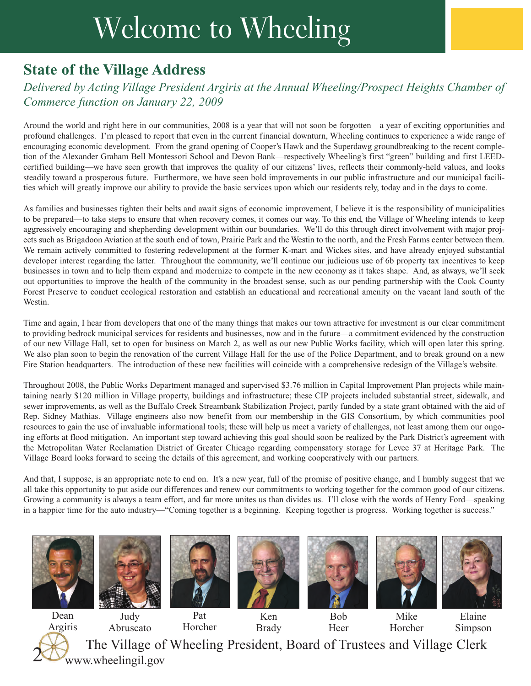## Welcome to Wheeling

## **State of the Village Address**

#### *Delivered by Acting Village President Argiris at the Annual Wheeling/Prospect Heights Chamber of Commerce function on January 22, 2009*

Around the world and right here in our communities, 2008 is a year that will not soon be forgotten—a year of exciting opportunities and profound challenges. I'm pleased to report that even in the current financial downturn, Wheeling continues to experience a wide range of encouraging economic development. From the grand opening of Cooper's Hawk and the Superdawg groundbreaking to the recent completion of the Alexander Graham Bell Montessori School and Devon Bank—respectively Wheeling's first "green" building and first LEEDcertified building—we have seen growth that improves the quality of our citizens' lives, reflects their commonly-held values, and looks steadily toward a prosperous future. Furthermore, we have seen bold improvements in our public infrastructure and our municipal facilities which will greatly improve our ability to provide the basic services upon which our residents rely, today and in the days to come.

As families and businesses tighten their belts and await signs of economic improvement, I believe it is the responsibility of municipalities to be prepared—to take steps to ensure that when recovery comes, it comes our way. To this end, the Village of Wheeling intends to keep aggressively encouraging and shepherding development within our boundaries. We'll do this through direct involvement with major projects such as Brigadoon Aviation at the south end of town, Prairie Park and the Westin to the north, and the Fresh Farms center between them. We remain actively committed to fostering redevelopment at the former K-mart and Wickes sites, and have already enjoyed substantial developer interest regarding the latter. Throughout the community, we'll continue our judicious use of 6b property tax incentives to keep businesses in town and to help them expand and modernize to compete in the new economy as it takes shape. And, as always, we'll seek out opportunities to improve the health of the community in the broadest sense, such as our pending partnership with the Cook County Forest Preserve to conduct ecological restoration and establish an educational and recreational amenity on the vacant land south of the Westin.

Time and again, I hear from developers that one of the many things that makes our town attractive for investment is our clear commitment to providing bedrock municipal services for residents and businesses, now and in the future—a commitment evidenced by the construction of our new Village Hall, set to open for business on March 2, as well as our new Public Works facility, which will open later this spring. We also plan soon to begin the renovation of the current Village Hall for the use of the Police Department, and to break ground on a new Fire Station headquarters. The introduction of these new facilities will coincide with a comprehensive redesign of the Village's website.

Throughout 2008, the Public Works Department managed and supervised \$3.76 million in Capital Improvement Plan projects while maintaining nearly \$120 million in Village property, buildings and infrastructure; these CIP projects included substantial street, sidewalk, and sewer improvements, as well as the Buffalo Creek Streambank Stabilization Project, partly funded by a state grant obtained with the aid of Rep. Sidney Mathias. Village engineers also now benefit from our membership in the GIS Consortium, by which communities pool resources to gain the use of invaluable informational tools; these will help us meet a variety of challenges, not least among them our ongoing efforts at flood mitigation. An important step toward achieving this goal should soon be realized by the Park District's agreement with the Metropolitan Water Reclamation District of Greater Chicago regarding compensatory storage for Levee 37 at Heritage Park. The Village Board looks forward to seeing the details of this agreement, and working cooperatively with our partners.

And that, I suppose, is an appropriate note to end on. It's a new year, full of the promise of positive change, and I humbly suggest that we all take this opportunity to put aside our differences and renew our commitments to working together for the common good of our citizens. Growing a community is always a team effort, and far more unites us than divides us. I'll close with the words of Henry Ford—speaking in a happier time for the auto industry—"Coming together is a beginning. Keeping together is progress. Working together is success."













Mike Horcher



Dean Argiris 2

Abruscato

Pat Horcher

Ken Brady

Bob Heer

Elaine Simpson

The Village of Wheeling President, Board of Trustees and Village Clerk www.wheelingil.gov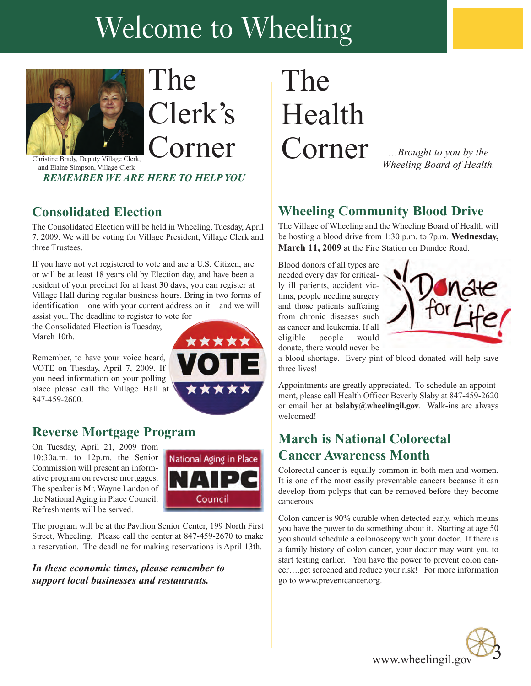## Welcome to Wheeling



# The Clerk's

and Elaine Simpson, Village Clerk *REMEMBER WE ARE HERE TO HELP YOU*

### **Consolidated Election**

The Consolidated Election will be held in Wheeling, Tuesday, April 7, 2009. We will be voting for Village President, Village Clerk and three Trustees.

If you have not yet registered to vote and are a U.S. Citizen, are or will be at least 18 years old by Election day, and have been a resident of your precinct for at least 30 days, you can register at Village Hall during regular business hours. Bring in two forms of identification – one with your current address on it – and we will

assist you. The deadline to register to vote for the Consolidated Election is Tuesday, March 10th.

Remember, to have your voice heard, VOTE on Tuesday, April 7, 2009. If you need information on your polling place please call the Village Hall at 847-459-2600.



#### **Reverse Mortgage Program**

On Tuesday, April 21, 2009 from 10:30a.m. to 12p.m. the Senior Commission will present an informative program on reverse mortgages. The speaker is Mr. Wayne Landon of the National Aging in Place Council. Refreshments will be served.



The program will be at the Pavilion Senior Center, 199 North First Street, Wheeling. Please call the center at 847-459-2670 to make a reservation. The deadline for making reservations is April 13th.

*In these economic times, please remember to support local businesses and restaurants.*

## The Health Corner

*…Brought to you by the Wheeling Board of Health.*

#### **Wheeling Community Blood Drive**

The Village of Wheeling and the Wheeling Board of Health will be hosting a blood drive from 1:30 p.m. to 7p.m. **Wednesday, March 11, 2009** at the Fire Station on Dundee Road.

Blood donors of all types are needed every day for critically ill patients, accident victims, people needing surgery and those patients suffering from chronic diseases such as cancer and leukemia. If all eligible people donate, there would never be



a blood shortage. Every pint of blood donated will help save three lives!

Appointments are greatly appreciated. To schedule an appointment, please call Health Officer Beverly Slaby at 847-459-2620 or email her at **bslaby@wheelingil.gov**. Walk-ins are always welcomed!

### **March is National Colorectal Cancer Awareness Month**

Colorectal cancer is equally common in both men and women. It is one of the most easily preventable cancers because it can develop from polyps that can be removed before they become cancerous.

Colon cancer is 90% curable when detected early, which means you have the power to do something about it. Starting at age 50 you should schedule a colonoscopy with your doctor. If there is a family history of colon cancer, your doctor may want you to start testing earlier. You have the power to prevent colon cancer….get screened and reduce your risk! For more information go to www.preventcancer.org.

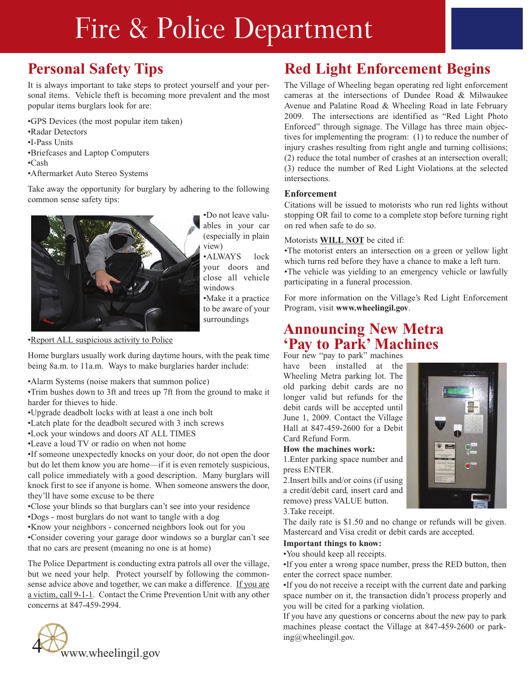## Fire & Police Department

## **Personal Safety Tips**

It is always important to take steps to protect yourself and your personal items. Vehicle theft is becoming more prevalent and the most popular items burglars look for are:

•GPS Devices (the most popular item taken)

- •Radar Detectors
- •I-Pass Units
- •Briefcases and Laptop Computers
- •Cash
- •Aftermarket Auto Stereo Systems

Take away the opportunity for burglary by adhering to the following common sense safety tips:



•Do not leave valuables in your car (especially in plain view)

•ALWAYS lock your doors and close all vehicle windows •Make it a practice to be aware of your surroundings

•Report ALL suspicious activity to Police

Home burglars usually work during daytime hours, with the peak time being 8a.m. to 11a.m. Ways to make burglaries harder include:

•Alarm Systems (noise makers that summon police)

•Trim bushes down to 3ft and trees up 7ft from the ground to make it harder for thieves to hide.

- •Upgrade deadbolt locks with at least a one inch bolt
- •Latch plate for the deadbolt secured with 3 inch screws
- •Lock your windows and doors AT ALL TIMES
- •Leave a loud TV or radio on when not home

•If someone unexpectedly knocks on your door, do not open the door but do let them know you are home—if it is even remotely suspicious, call police immediately with a good description. Many burglars will knock first to see if anyone is home. When someone answers the door, they'll have some excuse to be there

•Close your blinds so that burglars can't see into your residence

- •Dogs most burglars do not want to tangle with a dog
- •Know your neighbors concerned neighbors look out for you

•Consider covering your garage door windows so a burglar can't see that no cars are present (meaning no one is at home)

The Police Department is conducting extra patrols all over the village, but we need your help. Protect yourself by following the commonsense advice above and together, we can make a difference. If you are a victim, call 9-1-1. Contact the Crime Prevention Unit with any other concerns at 847-459-2994.



## **Red Light Enforcement Begins**

The Village of Wheeling began operating red light enforcement cameras at the intersections of Dundee Road & Milwaukee Avenue and Palatine Road & Wheeling Road in late February 2009. The intersections are identified as "Red Light Photo Enforced" through signage. The Village has three main objectives for implementing the program: (1) to reduce the number of injury crashes resulting from right angle and turning collisions; (2) reduce the total number of crashes at an intersection overall; (3) reduce the number of Red Light Violations at the selected intersections.

#### **Enforcement**

Citations will be issued to motorists who run red lights without stopping OR fail to come to a complete stop before turning right on red when safe to do so.

#### Motorists **WILL NOT** be cited if:

•The motorist enters an intersection on a green or yellow light which turns red before they have a chance to make a left turn. •The vehicle was yielding to an emergency vehicle or lawfully participating in a funeral procession.

For more information on the Village's Red Light Enforcement Program, visit **www.wheelingil.gov**.

### **Announcing New Metra 'Pay to Park' Machines**

Four new "pay to park" machines

have been installed at the Wheeling Metra parking lot. The old parking debit cards are no longer valid but refunds for the debit cards will be accepted until June 1, 2009. Contact the Village Hall at 847-459-2600 for a Debit Card Refund Form.

#### **How the machines work:**

1.Enter parking space number and press ENTER.

2.Insert bills and/or coins (if using a credit/debit card, insert card and remove) press VALUE button. 3.Take receipt.

The daily rate is \$1.50 and no change or refunds will be given. Mastercard and Visa credit or debit cards are accepted.

#### **Important things to know:**

•You should keep all receipts.

•If you enter a wrong space number, press the RED button, then enter the correct space number.

•If you do not receive a receipt with the current date and parking space number on it, the transaction didn't process properly and you will be cited for a parking violation.

If you have any questions or concerns about the new pay to park machines please contact the Village at 847-459-2600 or parking@wheelingil.gov.

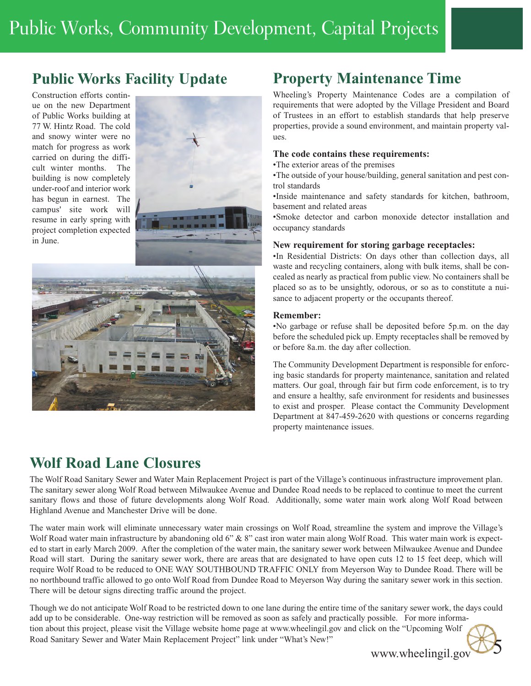## **Public Works Facility Update**

Construction efforts continue on the new Department of Public Works building at 77 W. Hintz Road. The cold and snowy winter were no match for progress as work carried on during the difficult winter months. The building is now completely under-roof and interior work has begun in earnest. The campus' site work will resume in early spring with project completion expected in June.





## **Wolf Road Lane Closures**

### **Property Maintenance Time**

Wheeling's Property Maintenance Codes are a compilation of requirements that were adopted by the Village President and Board of Trustees in an effort to establish standards that help preserve properties, provide a sound environment, and maintain property values.

#### **The code contains these requirements:**

•The exterior areas of the premises

•The outside of your house/building, general sanitation and pest control standards

•Inside maintenance and safety standards for kitchen, bathroom, basement and related areas

•Smoke detector and carbon monoxide detector installation and occupancy standards

#### **New requirement for storing garbage receptacles:**

•In Residential Districts: On days other than collection days, all waste and recycling containers, along with bulk items, shall be concealed as nearly as practical from public view. No containers shall be placed so as to be unsightly, odorous, or so as to constitute a nuisance to adjacent property or the occupants thereof.

#### **Remember:**

•No garbage or refuse shall be deposited before 5p.m. on the day before the scheduled pick up. Empty receptacles shall be removed by or before 8a.m. the day after collection.

The Community Development Department is responsible for enforcing basic standards for property maintenance, sanitation and related matters. Our goal, through fair but firm code enforcement, is to try and ensure a healthy, safe environment for residents and businesses to exist and prosper. Please contact the Community Development Department at 847-459-2620 with questions or concerns regarding property maintenance issues.

The Wolf Road Sanitary Sewer and Water Main Replacement Project is part of the Village's continuous infrastructure improvement plan. The sanitary sewer along Wolf Road between Milwaukee Avenue and Dundee Road needs to be replaced to continue to meet the current sanitary flows and those of future developments along Wolf Road. Additionally, some water main work along Wolf Road between Highland Avenue and Manchester Drive will be done.

The water main work will eliminate unnecessary water main crossings on Wolf Road, streamline the system and improve the Village's Wolf Road water main infrastructure by abandoning old 6" & 8" cast iron water main along Wolf Road. This water main work is expected to start in early March 2009. After the completion of the water main, the sanitary sewer work between Milwaukee Avenue and Dundee Road will start. During the sanitary sewer work, there are areas that are designated to have open cuts 12 to 15 feet deep, which will require Wolf Road to be reduced to ONE WAY SOUTHBOUND TRAFFIC ONLY from Meyerson Way to Dundee Road. There will be no northbound traffic allowed to go onto Wolf Road from Dundee Road to Meyerson Way during the sanitary sewer work in this section. There will be detour signs directing traffic around the project.

Though we do not anticipate Wolf Road to be restricted down to one lane during the entire time of the sanitary sewer work, the days could add up to be considerable. One-way restriction will be removed as soon as safely and practically possible. For more information about this project, please visit the Village website home page at www.wheelingil.gov and click on the "Upcoming Wolf Road Sanitary Sewer and Water Main Replacement Project" link under "What's New!"

www.wheelingil.gov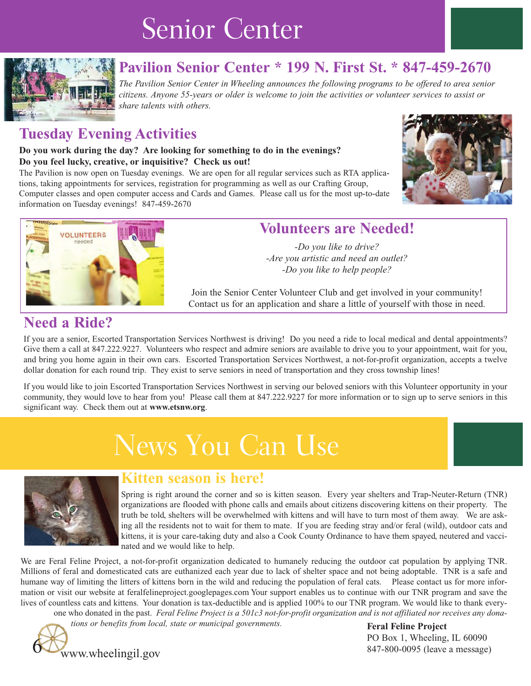## Senior Center



## **Pavilion Senior Center \* 199 N. First St. \* 847-459-2670**

*The Pavilion Senior Center in Wheeling announces the following programs to be offered to area senior citizens. Anyone 55-years or older is welcome to join the activities or volunteer services to assist or share talents with others.*

### **Tuesday Evening Activities**

#### **Do you work during the day? Are looking for something to do in the evenings? Do you feel lucky, creative, or inquisitive? Check us out!**

The Pavilion is now open on Tuesday evenings. We are open for all regular services such as RTA applications, taking appointments for services, registration for programming as well as our Crafting Group, Computer classes and open computer access and Cards and Games. Please call us for the most up-to-date information on Tuesday evenings! 847-459-2670





### **Volunteers are Needed!**

*-Do you like to drive? -Are you artistic and need an outlet? -Do you like to help people?*

Join the Senior Center Volunteer Club and get involved in your community! Contact us for an application and share a little of yourself with those in need.

### **Need a Ride?**

If you are a senior, Escorted Transportation Services Northwest is driving! Do you need a ride to local medical and dental appointments? Give them a call at 847.222.9227. Volunteers who respect and admire seniors are available to drive you to your appointment, wait for you, and bring you home again in their own cars. Escorted Transportation Services Northwest, a not-for-profit organization, accepts a twelve dollar donation for each round trip. They exist to serve seniors in need of transportation and they cross township lines!

If you would like to join Escorted Transportation Services Northwest in serving our beloved seniors with this Volunteer opportunity in your community, they would love to hear from you! Please call them at 847.222.9227 for more information or to sign up to serve seniors in this significant way. Check them out at **www.etsnw.org**.

## News You Can Use



#### **Kitten season is here!**

Spring is right around the corner and so is kitten season. Every year shelters and Trap-Neuter-Return (TNR) organizations are flooded with phone calls and emails about citizens discovering kittens on their property. The truth be told, shelters will be overwhelmed with kittens and will have to turn most of them away. We are asking all the residents not to wait for them to mate. If you are feeding stray and/or feral (wild), outdoor cats and kittens, it is your care-taking duty and also a Cook County Ordinance to have them spayed, neutered and vaccinated and we would like to help.

We are Feral Feline Project, a not-for-profit organization dedicated to humanely reducing the outdoor cat population by applying TNR. Millions of feral and domesticated cats are euthanized each year due to lack of shelter space and not being adoptable. TNR is a safe and humane way of limiting the litters of kittens born in the wild and reducing the population of feral cats. Please contact us for more information or visit our website at feralfelineproject.googlepages.com Your support enables us to continue with our TNR program and save the lives of countless cats and kittens. Your donation is tax-deductible and is applied 100% to our TNR program. We would like to thank everyone who donated in the past. *Feral Feline Project is a 501c3 not-for-profit organization and is not affiliated nor receives any dona-*

*tions or benefits from local, state or municipal governments.* 



**Feral Feline Project** PO Box 1, Wheeling, IL 60090 847-800-0095 (leave a message)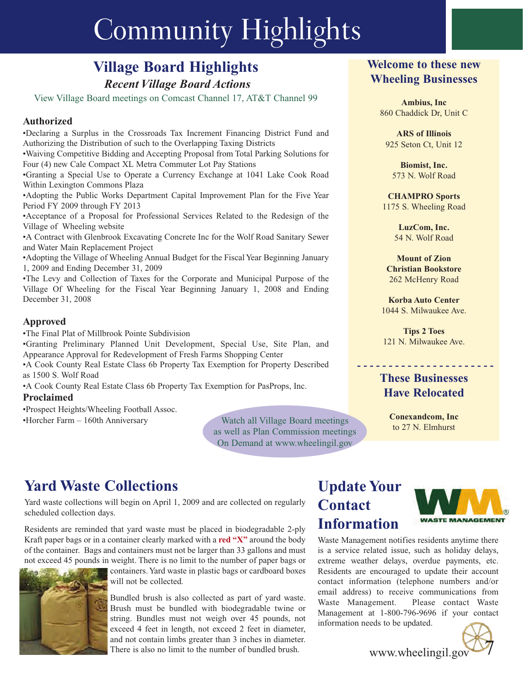## Community Highlights

## **Village Board Highlights**

*Recent Village Board Actions*

View Village Board meetings on Comcast Channel 17, AT&T Channel 99

#### **Authorized**

•Declaring a Surplus in the Crossroads Tax Increment Financing District Fund and Authorizing the Distribution of such to the Overlapping Taxing Districts

•Waiving Competitive Bidding and Accepting Proposal from Total Parking Solutions for Four (4) new Cale Compact XL Metra Commuter Lot Pay Stations

•Granting a Special Use to Operate a Currency Exchange at 1041 Lake Cook Road Within Lexington Commons Plaza

•Adopting the Public Works Department Capital Improvement Plan for the Five Year Period FY 2009 through FY 2013

•Acceptance of a Proposal for Professional Services Related to the Redesign of the Village of Wheeling website

•A Contract with Glenbrook Excavating Concrete Inc for the Wolf Road Sanitary Sewer and Water Main Replacement Project

•Adopting the Village of Wheeling Annual Budget for the Fiscal Year Beginning January 1, 2009 and Ending December 31, 2009

•The Levy and Collection of Taxes for the Corporate and Municipal Purpose of the Village Of Wheeling for the Fiscal Year Beginning January 1, 2008 and Ending December 31, 2008

#### **Approved**

•The Final Plat of Millbrook Pointe Subdivision

•Granting Preliminary Planned Unit Development, Special Use, Site Plan, and Appearance Approval for Redevelopment of Fresh Farms Shopping Center

•A Cook County Real Estate Class 6b Property Tax Exemption for Property Described as 1500 S. Wolf Road

•A Cook County Real Estate Class 6b Property Tax Exemption for PasProps, Inc.

#### **Proclaimed**

•Prospect Heights/Wheeling Football Assoc.

•Horcher Farm – 160th Anniversary

Watch all Village Board meetings<br>to 27 N. Elmhurst as well as Plan Commission meetings On Demand at www.wheelingil.gov

#### **Welcome to these new Wheeling Businesses**

**Ambius, Inc** 860 Chaddick Dr, Unit C

**ARS of Illinois** 925 Seton Ct, Unit 12

**Biomist, Inc.** 573 N. Wolf Road

**CHAMPRO Sports** 1175 S. Wheeling Road

> **LuzCom, Inc.** 54 N. Wolf Road

**Mount of Zion Christian Bookstore** 262 McHenry Road

**Korba Auto Center** 1044 S. Milwaukee Ave.

**Tips 2 Toes** 121 N. Milwaukee Ave.

**- - - - - - - - - - - - - - - - - - - - - -**

#### **These Businesses Have Relocated**

**Conexandcom, Inc**

## **Yard Waste Collections**

Yard waste collections will begin on April 1, 2009 and are collected on regularly scheduled collection days.

Residents are reminded that yard waste must be placed in biodegradable 2-ply Kraft paper bags or in a container clearly marked with a **red "X"** around the body of the container. Bags and containers must not be larger than 33 gallons and must not exceed 45 pounds in weight. There is no limit to the number of paper bags or



containers. Yard waste in plastic bags or cardboard boxes will not be collected.

Bundled brush is also collected as part of yard waste. Brush must be bundled with biodegradable twine or string. Bundles must not weigh over 45 pounds, not exceed 4 feet in length, not exceed 2 feet in diameter, and not contain limbs greater than 3 inches in diameter. There is also no limit to the number of bundled brush.

### **Update Your Contact Information**



Waste Management notifies residents anytime there is a service related issue, such as holiday delays, extreme weather delays, overdue payments, etc. Residents are encouraged to update their account contact information (telephone numbers and/or email address) to receive communications from Waste Management. Please contact Waste Management at 1-800-796-9696 if your contact information needs to be updated.



www.wheelingil.gov